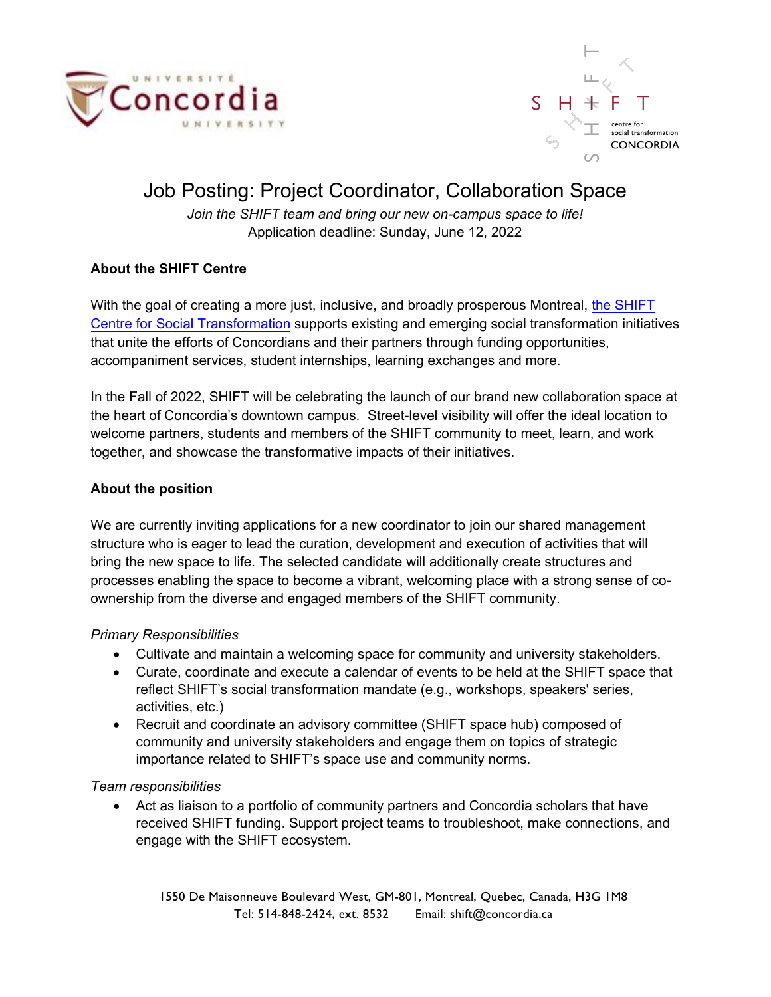



# Job Posting: Project Coordinator, Collaboration Space

*Join the SHIFT team and bring our new on-campus space to life!*  Application deadline: Sunday, June 12, 2022

# **About the SHIFT Centre**

With the goal of creating a more just, inclusive, and broadly prosperous Montreal, [the SHIFT](https://www.concordia.ca/about/shift.html?utm_source=Vanity&utm_campaign=shift) [Centre for Social Transformation](https://www.concordia.ca/about/shift.html?utm_source=Vanity&utm_campaign=shift) supports existing and emerging social transformation initiatives that unite the efforts of Concordians and their partners through funding opportunities, accompaniment services, student internships, learning exchanges and more.

In the Fall of 2022, SHIFT will be celebrating the launch of our brand new collaboration space at the heart of Concordia's downtown campus. Street-level visibility will offer the ideal location to welcome partners, students and members of the SHIFT community to meet, learn, and work together, and showcase the transformative impacts of their initiatives.

# **About the position**

We are currently inviting applications for a new coordinator to join our shared management structure who is eager to lead the curation, development and execution of activities that will bring the new space to life. The selected candidate will additionally create structures and processes enabling the space to become a vibrant, welcoming place with a strong sense of coownership from the diverse and engaged members of the SHIFT community.

#### *Primary Responsibilities*

- Cultivate and maintain a welcoming space for community and university stakeholders.
- Curate, coordinate and execute a calendar of events to be held at the SHIFT space that reflect SHIFT's social transformation mandate (e.g., workshops, speakers' series, activities, etc.)
- Recruit and coordinate an advisory committee (SHIFT space hub) composed of community and university stakeholders and engage them on topics of strategic importance related to SHIFT's space use and community norms.

#### *Team responsibilities*

• Act as liaison to a portfolio of community partners and Concordia scholars that have received SHIFT funding. Support project teams to troubleshoot, make connections, and engage with the SHIFT ecosystem.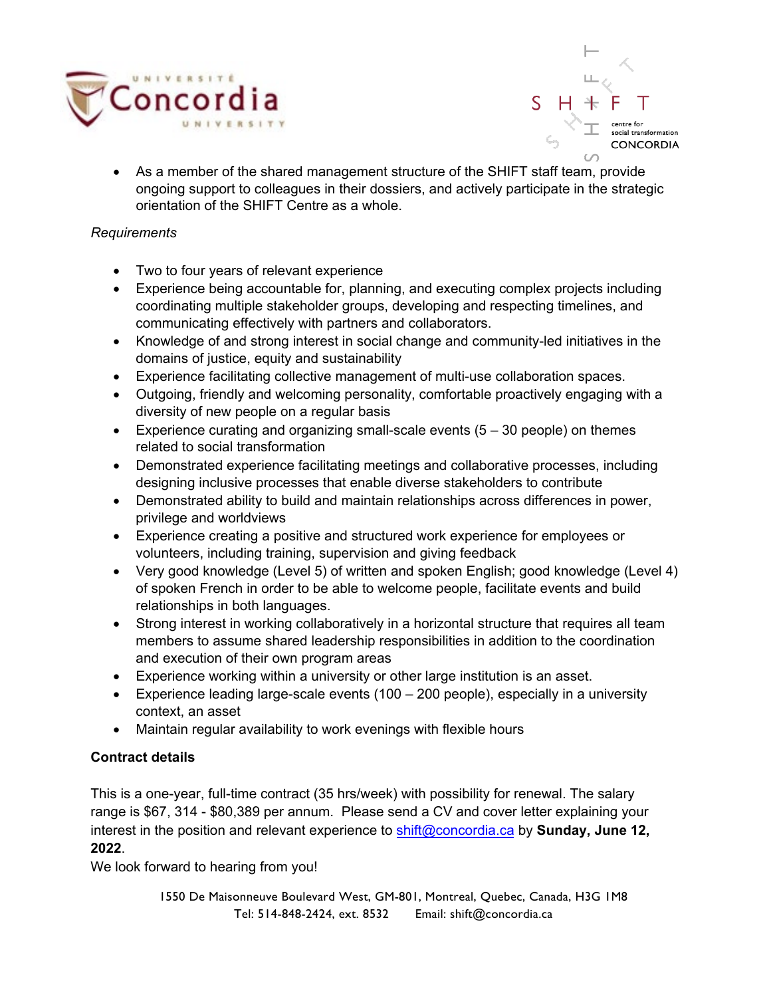



• As a member of the shared management structure of the SHIFT staff team, provide ongoing support to colleagues in their dossiers, and actively participate in the strategic orientation of the SHIFT Centre as a whole.

#### *Requirements*

- Two to four years of relevant experience
- Experience being accountable for, planning, and executing complex projects including coordinating multiple stakeholder groups, developing and respecting timelines, and communicating effectively with partners and collaborators.
- Knowledge of and strong interest in social change and community-led initiatives in the domains of justice, equity and sustainability
- Experience facilitating collective management of multi-use collaboration spaces.
- Outgoing, friendly and welcoming personality, comfortable proactively engaging with a diversity of new people on a regular basis
- Experience curating and organizing small-scale events  $(5 30$  people) on themes related to social transformation
- Demonstrated experience facilitating meetings and collaborative processes, including designing inclusive processes that enable diverse stakeholders to contribute
- Demonstrated ability to build and maintain relationships across differences in power, privilege and worldviews
- Experience creating a positive and structured work experience for employees or volunteers, including training, supervision and giving feedback
- Very good knowledge (Level 5) of written and spoken English; good knowledge (Level 4) of spoken French in order to be able to welcome people, facilitate events and build relationships in both languages.
- Strong interest in working collaboratively in a horizontal structure that requires all team members to assume shared leadership responsibilities in addition to the coordination and execution of their own program areas
- Experience working within a university or other large institution is an asset.
- Experience leading large-scale events (100 200 people), especially in a university context, an asset
- Maintain regular availability to work evenings with flexible hours

# **Contract details**

This is a one-year, full-time contract (35 hrs/week) with possibility for renewal. The salary range is \$67, 314 - \$80,389 per annum. Please send a CV and cover letter explaining your interest in the position and relevant experience to [shift@concordia.ca](mailto:shift@concordia.ca) by **Sunday, June 12, 2022**.

We look forward to hearing from you!